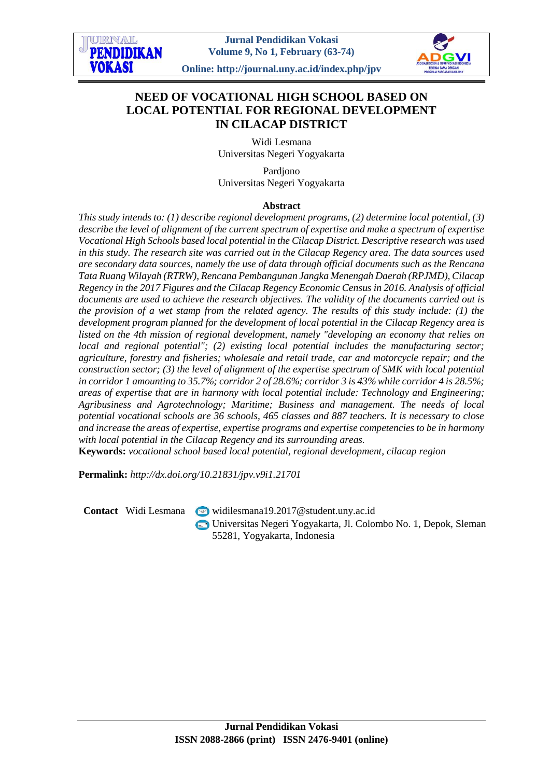# **NEED OF VOCATIONAL HIGH SCHOOL BASED ON LOCAL POTENTIAL FOR REGIONAL DEVELOPMENT IN CILACAP DISTRICT**

Widi Lesmana Universitas Negeri Yogyakarta

Pardjono Universitas Negeri Yogyakarta

# **Abstract**

*This study intends to: (1) describe regional development programs, (2) determine local potential, (3) describe the level of alignment of the current spectrum of expertise and make a spectrum of expertise Vocational High Schools based local potential in the Cilacap District. Descriptive research was used in this study. The research site was carried out in the Cilacap Regency area. The data sources used are secondary data sources, namely the use of data through official documents such as the Rencana Tata Ruang Wilayah (RTRW), Rencana Pembangunan Jangka Menengah Daerah (RPJMD), Cilacap Regency in the 2017 Figures and the Cilacap Regency Economic Census in 2016. Analysis of official documents are used to achieve the research objectives. The validity of the documents carried out is the provision of a wet stamp from the related agency. The results of this study include: (1) the development program planned for the development of local potential in the Cilacap Regency area is listed on the 4th mission of regional development, namely "developing an economy that relies on local and regional potential"; (2) existing local potential includes the manufacturing sector; agriculture, forestry and fisheries; wholesale and retail trade, car and motorcycle repair; and the construction sector; (3) the level of alignment of the expertise spectrum of SMK with local potential in corridor 1 amounting to 35.7%; corridor 2 of 28.6%; corridor 3 is 43% while corridor 4 is 28.5%; areas of expertise that are in harmony with local potential include: Technology and Engineering; Agribusiness and Agrotechnology; Maritime; Business and management. The needs of local potential vocational schools are 36 schools, 465 classes and 887 teachers. It is necessary to close and increase the areas of expertise, expertise programs and expertise competencies to be in harmony with local potential in the Cilacap Regency and its surrounding areas.*

**Keywords:** *vocational school based local potential, regional development, cilacap region*

**Permalink:** *http://dx.doi.org/10.21831/jpv.v9i1.21701*

**Contact** Widi Lesmana [widilesmana19.2017@student.uny.ac.id](mailto:widilesmana19.2017@student.uny.ac.id) Universitas Negeri Yogyakarta, Jl. Colombo No. 1, Depok, Sleman 55281, Yogyakarta, Indonesia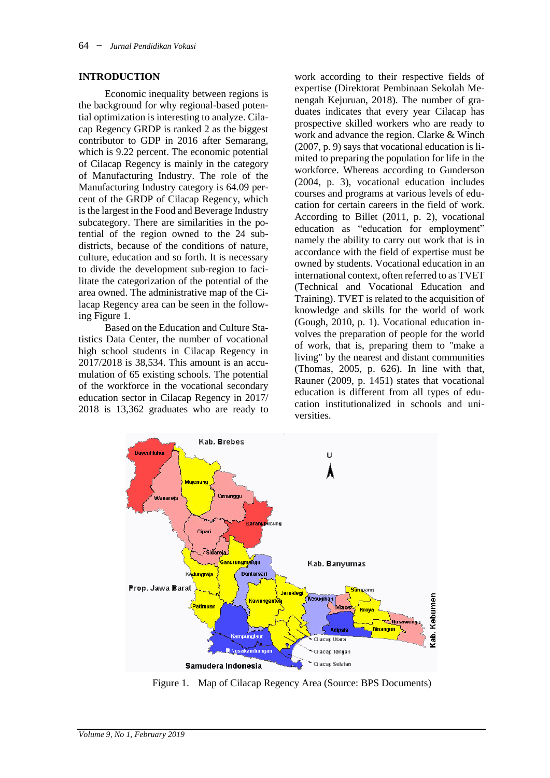#### **INTRODUCTION**

Economic inequality between regions is the background for why regional-based potential optimization is interesting to analyze. Cilacap Regency GRDP is ranked 2 as the biggest contributor to GDP in 2016 after Semarang, which is 9.22 percent. The economic potential of Cilacap Regency is mainly in the category of Manufacturing Industry. The role of the Manufacturing Industry category is 64.09 percent of the GRDP of Cilacap Regency, which is the largest in the Food and Beverage Industry subcategory. There are similarities in the potential of the region owned to the 24 subdistricts, because of the conditions of nature, culture, education and so forth. It is necessary to divide the development sub-region to facilitate the categorization of the potential of the area owned. The administrative map of the Cilacap Regency area can be seen in the following Figure 1.

Based on the Education and Culture Statistics Data Center, the number of vocational high school students in Cilacap Regency in 2017/2018 is 38,534. This amount is an accumulation of 65 existing schools. The potential of the workforce in the vocational secondary education sector in Cilacap Regency in 2017/ 2018 is 13,362 graduates who are ready to

work according to their respective fields of expertise (Direktorat Pembinaan Sekolah Menengah Kejuruan, 2018). The number of graduates indicates that every year Cilacap has prospective skilled workers who are ready to work and advance the region. Clarke & Winch (2007, p. 9) says that vocational education is limited to preparing the population for life in the workforce. Whereas according to Gunderson (2004, p. 3), vocational education includes courses and programs at various levels of education for certain careers in the field of work. According to Billet (2011, p. 2), vocational education as "education for employment" namely the ability to carry out work that is in accordance with the field of expertise must be owned by students. Vocational education in an international context, often referred to as TVET (Technical and Vocational Education and Training). TVET is related to the acquisition of knowledge and skills for the world of work (Gough, 2010, p. 1). Vocational education involves the preparation of people for the world of work, that is, preparing them to "make a living" by the nearest and distant communities (Thomas, 2005, p. 626). In line with that, Rauner (2009, p. 1451) states that vocational education is different from all types of education institutionalized in schools and universities.



Figure 1. Map of Cilacap Regency Area (Source: BPS Documents)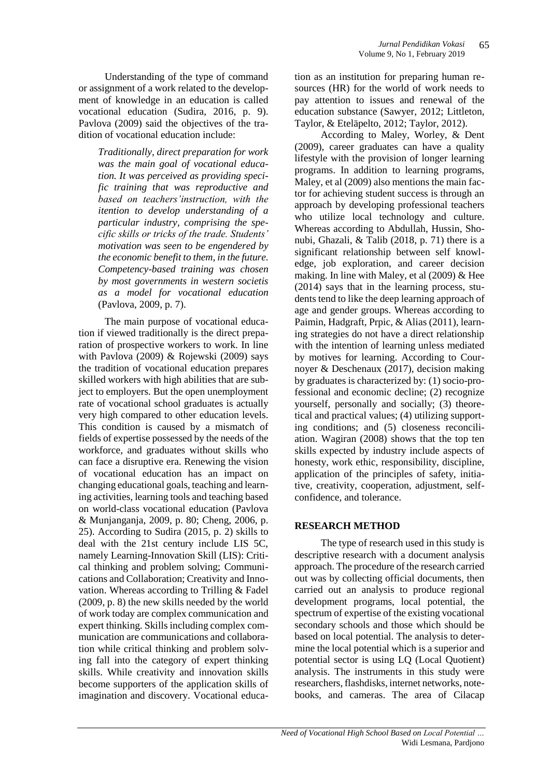Understanding of the type of command or assignment of a work related to the development of knowledge in an education is called vocational education (Sudira, 2016, p. 9). Pavlova (2009) said the objectives of the tradition of vocational education include:

*Traditionally, direct preparation for work was the main goal of vocational education. It was perceived as providing specific training that was reproductive and based on teachers'instruction, with the itention to develop understanding of a particular industry, comprising the specific skills or tricks of the trade. Students' motivation was seen to be engendered by the economic benefit to them, in the future. Competency-based training was chosen by most governments in western societis as a model for vocational education*  (Pavlova, 2009, p. 7).

The main purpose of vocational education if viewed traditionally is the direct preparation of prospective workers to work. In line with Pavlova (2009) & Rojewski (2009) says the tradition of vocational education prepares skilled workers with high abilities that are subject to employers. But the open unemployment rate of vocational school graduates is actually very high compared to other education levels. This condition is caused by a mismatch of fields of expertise possessed by the needs of the workforce, and graduates without skills who can face a disruptive era. Renewing the vision of vocational education has an impact on changing educational goals, teaching and learning activities, learning tools and teaching based on world-class vocational education (Pavlova & Munjanganja, 2009, p. 80; Cheng, 2006, p. 25). According to Sudira (2015, p. 2) skills to deal with the 21st century include LIS 5C, namely Learning-Innovation Skill (LIS): Critical thinking and problem solving; Communications and Collaboration; Creativity and Innovation. Whereas according to Trilling & Fadel (2009, p. 8) the new skills needed by the world of work today are complex communication and expert thinking. Skills including complex communication are communications and collaboration while critical thinking and problem solving fall into the category of expert thinking skills. While creativity and innovation skills become supporters of the application skills of imagination and discovery. Vocational education as an institution for preparing human resources (HR) for the world of work needs to pay attention to issues and renewal of the education substance (Sawyer, 2012; Littleton, Taylor, & Eteläpelto, 2012; Taylor, 2012).

According to Maley, Worley, & Dent (2009), career graduates can have a quality lifestyle with the provision of longer learning programs. In addition to learning programs, Maley, et al (2009) also mentions the main factor for achieving student success is through an approach by developing professional teachers who utilize local technology and culture. Whereas according to Abdullah, Hussin, Shonubi, Ghazali, & Talib (2018, p. 71) there is a significant relationship between self knowledge, job exploration, and career decision making. In line with Maley, et al (2009) & Hee (2014) says that in the learning process, students tend to like the deep learning approach of age and gender groups. Whereas according to Paimin, Hadgraft, Prpic, & Alias (2011), learning strategies do not have a direct relationship with the intention of learning unless mediated by motives for learning. According to Cournoyer & Deschenaux (2017), decision making by graduates is characterized by: (1) socio-professional and economic decline; (2) recognize yourself, personally and socially; (3) theoretical and practical values; (4) utilizing supporting conditions; and (5) closeness reconciliation. Wagiran (2008) shows that the top ten skills expected by industry include aspects of honesty, work ethic, responsibility, discipline, application of the principles of safety, initiative, creativity, cooperation, adjustment, selfconfidence, and tolerance.

### **RESEARCH METHOD**

The type of research used in this study is descriptive research with a document analysis approach. The procedure of the research carried out was by collecting official documents, then carried out an analysis to produce regional development programs, local potential, the spectrum of expertise of the existing vocational secondary schools and those which should be based on local potential. The analysis to determine the local potential which is a superior and potential sector is using LQ (Local Quotient) analysis. The instruments in this study were researchers, flashdisks, internet networks, notebooks, and cameras. The area of Cilacap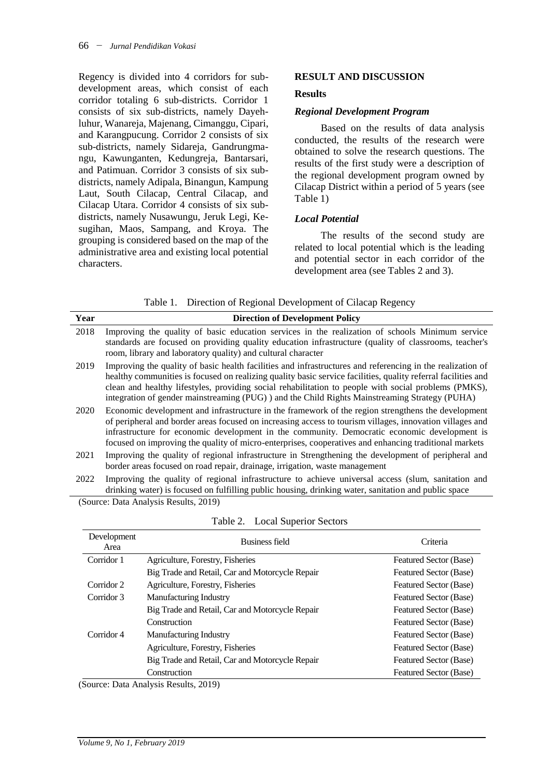Regency is divided into 4 corridors for subdevelopment areas, which consist of each corridor totaling 6 sub-districts. Corridor 1 consists of six sub-districts, namely Dayehluhur, Wanareja, Majenang, Cimanggu, Cipari, and Karangpucung. Corridor 2 consists of six sub-districts, namely Sidareja, Gandrungmangu, Kawunganten, Kedungreja, Bantarsari, and Patimuan. Corridor 3 consists of six subdistricts, namely Adipala, Binangun, Kampung Laut, South Cilacap, Central Cilacap, and Cilacap Utara. Corridor 4 consists of six subdistricts, namely Nusawungu, Jeruk Legi, Kesugihan, Maos, Sampang, and Kroya. The grouping is considered based on the map of the administrative area and existing local potential characters.

### **RESULT AND DISCUSSION**

#### **Results**

#### *Regional Development Program*

Based on the results of data analysis conducted, the results of the research were obtained to solve the research questions. The results of the first study were a description of the regional development program owned by Cilacap District within a period of 5 years (see Table 1)

# *Local Potential*

The results of the second study are related to local potential which is the leading and potential sector in each corridor of the development area (see Tables 2 and 3).

|  | Table 1. Direction of Regional Development of Cilacap Regency |
|--|---------------------------------------------------------------|
|  |                                                               |

| Year | <b>Direction of Development Policy</b>                                                                                                                                                                                                                                                                                                                                                                                                |
|------|---------------------------------------------------------------------------------------------------------------------------------------------------------------------------------------------------------------------------------------------------------------------------------------------------------------------------------------------------------------------------------------------------------------------------------------|
| 2018 | Improving the quality of basic education services in the realization of schools Minimum service<br>standards are focused on providing quality education infrastructure (quality of classrooms, teacher's<br>room, library and laboratory quality) and cultural character                                                                                                                                                              |
| 2019 | Improving the quality of basic health facilities and infrastructures and referencing in the realization of<br>healthy communities is focused on realizing quality basic service facilities, quality referral facilities and<br>clean and healthy lifestyles, providing social rehabilitation to people with social problems (PMKS),<br>integration of gender mainstreaming (PUG) ) and the Child Rights Mainstreaming Strategy (PUHA) |
| 2020 | Economic development and infrastructure in the framework of the region strengthens the development<br>of peripheral and border areas focused on increasing access to tourism villages, innovation villages and<br>infrastructure for economic development in the community. Democratic economic development is<br>focused on improving the quality of micro-enterprises, cooperatives and enhancing traditional markets               |
| 2021 | Improving the quality of regional infrastructure in Strengthening the development of peripheral and<br>border areas focused on road repair, drainage, irrigation, waste management                                                                                                                                                                                                                                                    |
| 2022 | Improving the quality of regional infrastructure to achieve universal access (slum, sanitation and<br>drinking water) is focused on fulfilling public housing, drinking water, sanitation and public space                                                                                                                                                                                                                            |

(Source: Data Analysis Results, 2019)

| Business field                                  | Criteria               |
|-------------------------------------------------|------------------------|
| Agriculture, Forestry, Fisheries                | Featured Sector (Base) |
| Big Trade and Retail, Car and Motorcycle Repair | Featured Sector (Base) |
| Agriculture, Forestry, Fisheries                | Featured Sector (Base) |
| <b>Manufacturing Industry</b>                   | Featured Sector (Base) |
| Big Trade and Retail, Car and Motorcycle Repair | Featured Sector (Base) |
| Construction                                    | Featured Sector (Base) |
| <b>Manufacturing Industry</b>                   | Featured Sector (Base) |
| Agriculture, Forestry, Fisheries                | Featured Sector (Base) |
| Big Trade and Retail, Car and Motorcycle Repair | Featured Sector (Base) |
| Construction                                    | Featured Sector (Base) |
|                                                 |                        |

Table 2. Local Superior Sectors

(Source: Data Analysis Results, 2019)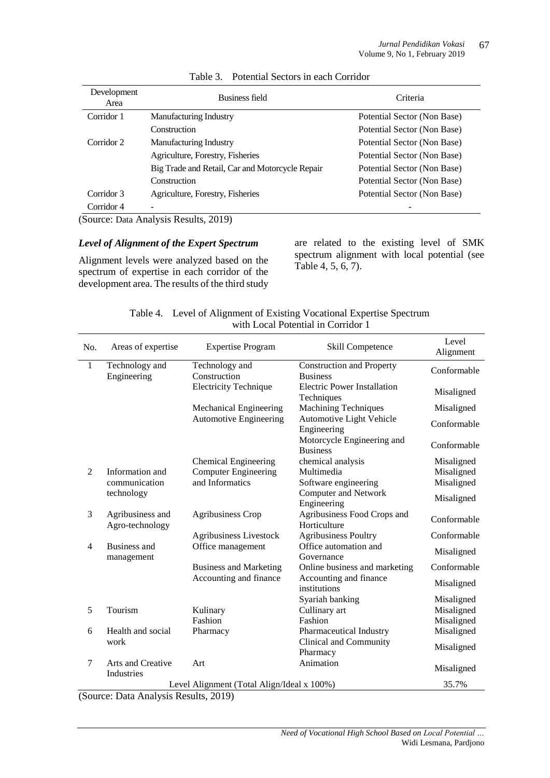| Development<br>Area | Business field                                                         | Criteria                    |
|---------------------|------------------------------------------------------------------------|-----------------------------|
| Corridor 1          | <b>Manufacturing Industry</b>                                          | Potential Sector (Non Base) |
|                     | Construction                                                           | Potential Sector (Non Base) |
| Corridor 2          | <b>Manufacturing Industry</b>                                          | Potential Sector (Non Base) |
|                     | Agriculture, Forestry, Fisheries                                       | Potential Sector (Non Base) |
|                     | Big Trade and Retail, Car and Motorcycle Repair                        | Potential Sector (Non Base) |
|                     | Construction                                                           | Potential Sector (Non Base) |
| Corridor 3          | Agriculture, Forestry, Fisheries                                       | Potential Sector (Non Base) |
| Corridor 4          |                                                                        |                             |
|                     | $S_{\text{out}}$ $D_{\text{obs}}$ , Anglysis $D_{\text{out}}$ $(2010)$ |                             |

# Table 3. Potential Sectors in each Corridor

(Source: Data Analysis Results, 2019)

### *Level of Alignment of the Expert Spectrum*

Alignment levels were analyzed based on the spectrum of expertise in each corridor of the development area. The results of the third study

are related to the existing level of SMK spectrum alignment with local potential (see Table 4, 5, 6, 7).

|                |                                            |                                | Level of Thighlicht of Labing vocational Lapertise spectrum<br>with Local Potential in Corridor 1 |                    |
|----------------|--------------------------------------------|--------------------------------|---------------------------------------------------------------------------------------------------|--------------------|
| No.            | Areas of expertise                         | <b>Expertise Program</b>       | Skill Competence                                                                                  | Level<br>Alignment |
| $\mathbf{1}$   | Technology and<br>Engineering              | Technology and<br>Construction | <b>Construction and Property</b><br><b>Business</b>                                               | Conformable        |
|                |                                            | <b>Electricity Technique</b>   | <b>Electric Power Installation</b><br>Techniques                                                  | Misaligned         |
|                |                                            | Mechanical Engineering         | <b>Machining Techniques</b>                                                                       | Misaligned         |
|                |                                            | Automotive Engineering         | Automotive Light Vehicle<br>Engineering                                                           | Conformable        |
|                |                                            |                                | Motorcycle Engineering and<br><b>Business</b>                                                     | Conformable        |
|                |                                            | <b>Chemical Engineering</b>    | chemical analysis                                                                                 | Misaligned         |
| 2              | Information and                            | <b>Computer Engineering</b>    | Multimedia                                                                                        | Misaligned         |
|                | communication                              | and Informatics                | Software engineering                                                                              | Misaligned         |
|                | technology                                 |                                | <b>Computer and Network</b><br>Engineering                                                        | Misaligned         |
| 3              | Agribusiness and<br>Agro-technology        | <b>Agribusiness Crop</b>       | Agribusiness Food Crops and<br>Horticulture                                                       | Conformable        |
|                |                                            | <b>Agribusiness Livestock</b>  | <b>Agribusiness Poultry</b>                                                                       | Conformable        |
| $\overline{4}$ | Business and<br>management                 | Office management              | Office automation and<br>Governance                                                               | Misaligned         |
|                |                                            | <b>Business and Marketing</b>  | Online business and marketing                                                                     | Conformable        |
|                |                                            | Accounting and finance         | Accounting and finance<br>institutions                                                            | Misaligned         |
|                |                                            |                                | Syariah banking                                                                                   | Misaligned         |
| 5              | Tourism                                    | Kulinary                       | Cullinary art                                                                                     | Misaligned         |
|                |                                            | Fashion                        | Fashion                                                                                           | Misaligned         |
| 6              | Health and social                          | Pharmacy                       | Pharmaceutical Industry                                                                           | Misaligned         |
|                | work                                       |                                | Clinical and Community<br>Pharmacy                                                                | Misaligned         |
| $\tau$         | Arts and Creative<br>Industries            | Art                            | Animation                                                                                         | Misaligned         |
|                | Level Alignment (Total Align/Ideal x 100%) |                                |                                                                                                   |                    |

Table 4. Level of Alignment of Existing Vocational Expertise Spectrum

(Source: Data Analysis Results, 2019)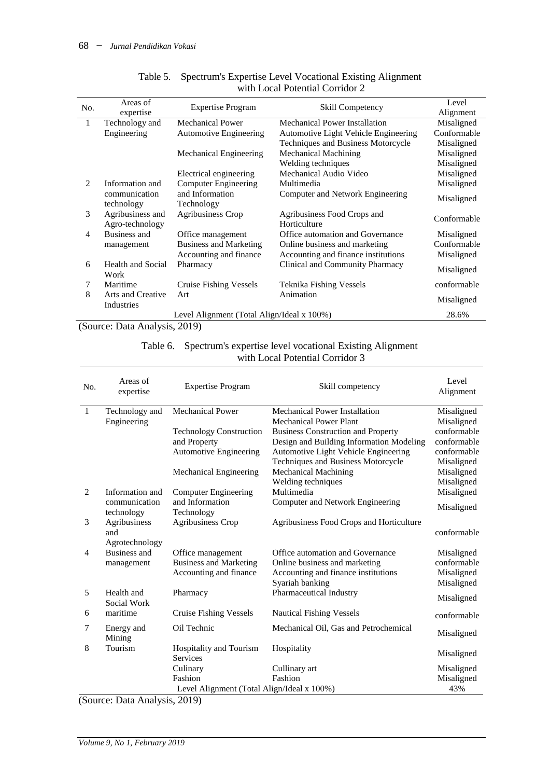| No. | Areas of<br>expertise               | <b>Expertise Program</b>                   | Skill Competency                            | Level<br>Alignment |
|-----|-------------------------------------|--------------------------------------------|---------------------------------------------|--------------------|
| 1   | Technology and                      | Mechanical Power                           | Mechanical Power Installation               | Misaligned         |
|     | Engineering                         | Automotive Engineering                     | Automotive Light Vehicle Engineering        | Conformable        |
|     |                                     |                                            | Techniques and Business Motorcycle          | Misaligned         |
|     |                                     | Mechanical Engineering                     | <b>Mechanical Machining</b>                 | Misaligned         |
|     |                                     |                                            | Welding techniques                          | Misaligned         |
|     |                                     | Electrical engineering                     | Mechanical Audio Video                      | Misaligned         |
| 2   | Information and                     | <b>Computer Engineering</b>                | Multimedia                                  | Misaligned         |
|     | communication<br>technology         | and Information<br>Technology              | Computer and Network Engineering            | Misaligned         |
| 3   | Agribusiness and<br>Agro-technology | <b>Agribusiness Crop</b>                   | Agribusiness Food Crops and<br>Horticulture | Conformable        |
| 4   | Business and                        | Office management                          | Office automation and Governance            | Misaligned         |
|     | management                          | <b>Business and Marketing</b>              | Online business and marketing               | Conformable        |
|     |                                     | Accounting and finance                     | Accounting and finance institutions         | Misaligned         |
| 6   | <b>Health and Social</b>            | Pharmacy                                   | Clinical and Community Pharmacy             | Misaligned         |
|     | Work                                |                                            |                                             |                    |
| 7   | Maritime                            | <b>Cruise Fishing Vessels</b>              | Teknika Fishing Vessels                     | conformable        |
| 8   | Arts and Creative<br>Industries     | Art                                        | Animation                                   | Misaligned         |
|     |                                     | Level Alignment (Total Align/Ideal x 100%) |                                             | 28.6%              |

# Table 5. Spectrum's Expertise Level Vocational Existing Alignment with Local Potential Corridor 2

(Source: Data Analysis, 2019)

# Table 6. Spectrum's expertise level vocational Existing Alignment with Local Potential Corridor 3

| No.            | Areas of<br>expertise       | <b>Expertise Program</b>                   | Skill competency                          | Level<br>Alignment |
|----------------|-----------------------------|--------------------------------------------|-------------------------------------------|--------------------|
| -1             | Technology and              | <b>Mechanical Power</b>                    | Mechanical Power Installation             | Misaligned         |
|                | Engineering                 |                                            | <b>Mechanical Power Plant</b>             | Misaligned         |
|                |                             | <b>Technology Construction</b>             | <b>Business Construction and Property</b> | conformable        |
|                |                             | and Property                               | Design and Building Information Modeling  | conformable        |
|                |                             | <b>Automotive Engineering</b>              | Automotive Light Vehicle Engineering      | conformable        |
|                |                             |                                            | Techniques and Business Motorcycle        | Misaligned         |
|                |                             | Mechanical Engineering                     | <b>Mechanical Machining</b>               | Misaligned         |
|                |                             |                                            | Welding techniques                        | Misaligned         |
| 2              | Information and             | <b>Computer Engineering</b>                | Multimedia                                | Misaligned         |
|                | communication<br>technology | and Information<br>Technology              | Computer and Network Engineering          | Misaligned         |
| 3              | Agribusiness                | <b>Agribusiness Crop</b>                   | Agribusiness Food Crops and Horticulture  |                    |
|                | and                         |                                            |                                           | conformable        |
|                | Agrotechnology              |                                            |                                           |                    |
| $\overline{4}$ | Business and                | Office management                          | Office automation and Governance          | Misaligned         |
|                | management                  | <b>Business and Marketing</b>              | Online business and marketing             | conformable        |
|                |                             | Accounting and finance                     | Accounting and finance institutions       | Misaligned         |
|                |                             |                                            | Syariah banking                           | Misaligned         |
| 5              | Health and<br>Social Work   | Pharmacy                                   | Pharmaceutical Industry                   | Misaligned         |
| 6              | maritime                    | <b>Cruise Fishing Vessels</b>              | <b>Nautical Fishing Vessels</b>           | conformable        |
| 7              | Energy and<br>Mining        | Oil Technic                                | Mechanical Oil, Gas and Petrochemical     | Misaligned         |
| 8              | Tourism                     | Hospitality and Tourism<br><b>Services</b> | Hospitality                               | Misaligned         |
|                |                             | Culinary                                   | Cullinary art                             | Misaligned         |
|                |                             | Fashion                                    | Fashion                                   | Misaligned         |
|                |                             | Level Alignment (Total Align/Ideal x 100%) |                                           | 43%                |

(Source: Data Analysis, 2019)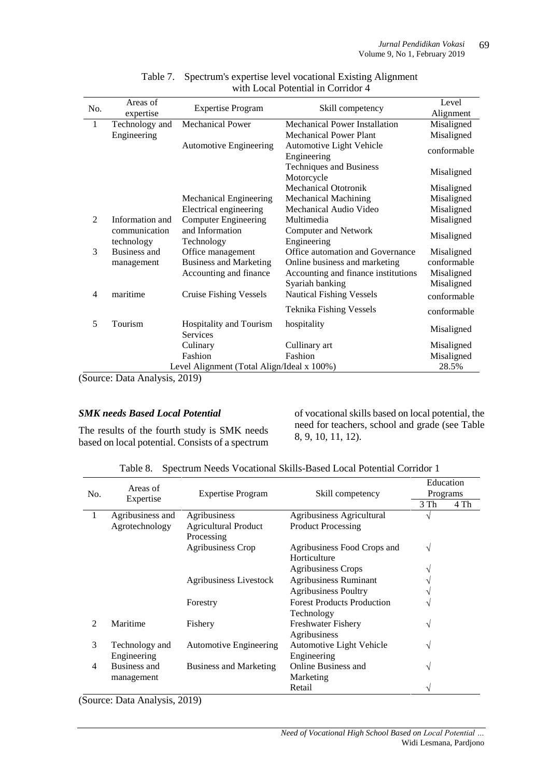|     | Areas of        |                                            |                                     | Level       |
|-----|-----------------|--------------------------------------------|-------------------------------------|-------------|
| No. | expertise       | <b>Expertise Program</b>                   | Skill competency                    | Alignment   |
| 1   | Technology and  | <b>Mechanical Power</b>                    | Mechanical Power Installation       | Misaligned  |
|     |                 |                                            | <b>Mechanical Power Plant</b>       | Misaligned  |
|     | Engineering     |                                            |                                     |             |
|     |                 | <b>Automotive Engineering</b>              | Automotive Light Vehicle            | conformable |
|     |                 |                                            | Engineering                         |             |
|     |                 |                                            | <b>Techniques and Business</b>      | Misaligned  |
|     |                 |                                            | Motorcycle                          |             |
|     |                 |                                            | <b>Mechanical Ototronik</b>         | Misaligned  |
|     |                 | Mechanical Engineering                     | <b>Mechanical Machining</b>         | Misaligned  |
|     |                 | Electrical engineering                     | Mechanical Audio Video              | Misaligned  |
| 2   | Information and | <b>Computer Engineering</b>                | Multimedia                          | Misaligned  |
|     | communication   | and Information                            | <b>Computer and Network</b>         | Misaligned  |
|     | technology      | Technology                                 | Engineering                         |             |
| 3   | Business and    | Office management                          | Office automation and Governance    | Misaligned  |
|     | management      | <b>Business and Marketing</b>              | Online business and marketing       | conformable |
|     |                 | Accounting and finance                     | Accounting and finance institutions | Misaligned  |
|     |                 |                                            | Syariah banking                     | Misaligned  |
| 4   | maritime        | <b>Cruise Fishing Vessels</b>              | <b>Nautical Fishing Vessels</b>     | conformable |
|     |                 |                                            |                                     |             |
|     |                 |                                            | Teknika Fishing Vessels             | conformable |
| 5   | Tourism         | Hospitality and Tourism                    | hospitality                         |             |
|     |                 | <b>Services</b>                            |                                     | Misaligned  |
|     |                 | Culinary                                   | Cullinary art                       | Misaligned  |
|     |                 | Fashion                                    | Fashion                             | Misaligned  |
|     |                 | Level Alignment (Total Align/Ideal x 100%) |                                     | 28.5%       |

# Table 7. Spectrum's expertise level vocational Existing Alignment with Local Potential in Corridor 4

(Source: Data Analysis, 2019)

### *SMK needs Based Local Potential*

The results of the fourth study is SMK needs based on local potential. Consists of a spectrum

of vocational skills based on local potential, the need for teachers, school and grade (see Table 8, 9, 10, 11, 12).

|     | Areas of         |                               |                                   | Education |      |
|-----|------------------|-------------------------------|-----------------------------------|-----------|------|
| No. |                  | <b>Expertise Program</b>      | Skill competency                  | Programs  |      |
|     | Expertise        |                               |                                   | 3 Th      | 4 Th |
| 1   | Agribusiness and | Agribusiness                  | <b>Agribusiness Agricultural</b>  | ٦         |      |
|     | Agrotechnology   | <b>Agricultural Product</b>   | <b>Product Processing</b>         |           |      |
|     |                  | Processing                    |                                   |           |      |
|     |                  | Agribusiness Crop             | Agribusiness Food Crops and       | V         |      |
|     |                  |                               | Horticulture                      |           |      |
|     |                  |                               | <b>Agribusiness Crops</b>         |           |      |
|     |                  | Agribusiness Livestock        | <b>Agribusiness Ruminant</b>      |           |      |
|     |                  |                               | <b>Agribusiness Poultry</b>       |           |      |
|     |                  | Forestry                      | <b>Forest Products Production</b> |           |      |
|     |                  |                               | Technology                        |           |      |
| 2   | Maritime         | Fishery                       | Freshwater Fishery                | V         |      |
|     |                  |                               | Agribusiness                      |           |      |
| 3   | Technology and   | <b>Automotive Engineering</b> | Automotive Light Vehicle          | N         |      |
|     | Engineering      |                               | Engineering                       |           |      |
| 4   | Business and     | Business and Marketing        | Online Business and               | N         |      |
|     | management       |                               | Marketing                         |           |      |
|     |                  |                               | Retail                            |           |      |

(Source: Data Analysis, 2019)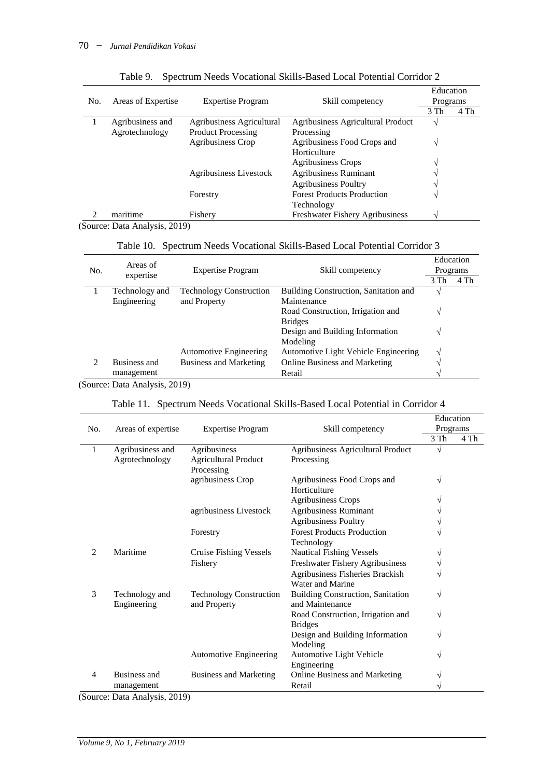|     |                    |                           |                                        | Education    |      |
|-----|--------------------|---------------------------|----------------------------------------|--------------|------|
| No. | Areas of Expertise | <b>Expertise Program</b>  | Skill competency                       | Programs     |      |
|     |                    |                           |                                        | 3 Th         | 4 Th |
|     | Agribusiness and   | Agribusiness Agricultural | Agribusiness Agricultural Product      | V            |      |
|     | Agrotechnology     | <b>Product Processing</b> | Processing                             |              |      |
|     |                    | Agribusiness Crop         | Agribusiness Food Crops and            | V            |      |
|     |                    |                           | Horticulture                           |              |      |
|     |                    |                           | <b>Agribusiness Crops</b>              | $\mathbf{v}$ |      |
|     |                    | Agribusiness Livestock    | <b>Agribusiness Ruminant</b>           |              |      |
|     |                    |                           | <b>Agribusiness Poultry</b>            |              |      |
|     |                    | Forestry                  | <b>Forest Products Production</b>      | ٦            |      |
|     |                    |                           | Technology                             |              |      |
|     | maritime           | Fishery                   | <b>Freshwater Fishery Agribusiness</b> | ٦            |      |

|  | Table 9. Spectrum Needs Vocational Skills-Based Local Potential Corridor 2 |  |  |  |  |
|--|----------------------------------------------------------------------------|--|--|--|--|
|--|----------------------------------------------------------------------------|--|--|--|--|

(Source: Data Analysis, 2019)

# Table 10. Spectrum Needs Vocational Skills-Based Local Potential Corridor 3

|     | Areas of       |                                |                                       |      | Education |
|-----|----------------|--------------------------------|---------------------------------------|------|-----------|
| No. |                | <b>Expertise Program</b>       | Skill competency                      |      | Programs  |
|     | expertise      |                                |                                       | 3 Th | 4 Th      |
|     | Technology and | <b>Technology Construction</b> | Building Construction, Sanitation and |      |           |
|     | Engineering    | and Property                   | Maintenance                           |      |           |
|     |                |                                | Road Construction, Irrigation and     |      |           |
|     |                |                                | <b>Bridges</b>                        |      |           |
|     |                |                                | Design and Building Information       |      |           |
|     |                |                                | Modeling                              |      |           |
|     |                | <b>Automotive Engineering</b>  | Automotive Light Vehicle Engineering  |      |           |
| 2   | Business and   | <b>Business and Marketing</b>  | <b>Online Business and Marketing</b>  |      |           |
|     | management     |                                | Retail                                |      |           |

(Source: Data Analysis, 2019)

# Table 11. Spectrum Needs Vocational Skills-Based Local Potential in Corridor 4

|     |                                    |                                |                                          | Education |      |
|-----|------------------------------------|--------------------------------|------------------------------------------|-----------|------|
| No. | Areas of expertise                 | <b>Expertise Program</b>       | Skill competency                         | Programs  |      |
|     |                                    |                                |                                          | 3 Th      | 4 Th |
| 1   | Agribusiness and                   | Agribusiness                   | Agribusiness Agricultural Product        | V         |      |
|     | Agrotechnology                     | <b>Agricultural Product</b>    | Processing                               |           |      |
|     |                                    | Processing                     |                                          |           |      |
|     |                                    | agribusiness Crop              | Agribusiness Food Crops and              | V         |      |
|     |                                    |                                | Horticulture                             |           |      |
|     |                                    |                                | <b>Agribusiness Crops</b>                |           |      |
|     |                                    | agribusiness Livestock         | <b>Agribusiness Ruminant</b>             |           |      |
|     |                                    |                                | <b>Agribusiness Poultry</b>              |           |      |
|     |                                    | Forestry                       | <b>Forest Products Production</b>        |           |      |
|     |                                    |                                | Technology                               |           |      |
| 2   | Maritime                           | Cruise Fishing Vessels         | <b>Nautical Fishing Vessels</b>          |           |      |
|     |                                    | Fishery                        | Freshwater Fishery Agribusiness          |           |      |
|     |                                    |                                | Agribusiness Fisheries Brackish          |           |      |
|     |                                    |                                | Water and Marine                         |           |      |
| 3   | Technology and                     | <b>Technology Construction</b> | <b>Building Construction, Sanitation</b> | V         |      |
|     | Engineering                        | and Property                   | and Maintenance                          |           |      |
|     |                                    |                                | Road Construction, Irrigation and        | V         |      |
|     |                                    |                                | <b>Bridges</b>                           |           |      |
|     |                                    |                                | Design and Building Information          | V         |      |
|     |                                    |                                | Modeling                                 |           |      |
|     |                                    | <b>Automotive Engineering</b>  | Automotive Light Vehicle                 |           |      |
|     |                                    |                                | Engineering                              |           |      |
| 4   | Business and                       | <b>Business and Marketing</b>  | Online Business and Marketing            |           |      |
|     | management<br>$\sim$ $\sim$ $\sim$ |                                | Retail                                   |           |      |

(Source: Data Analysis, 2019)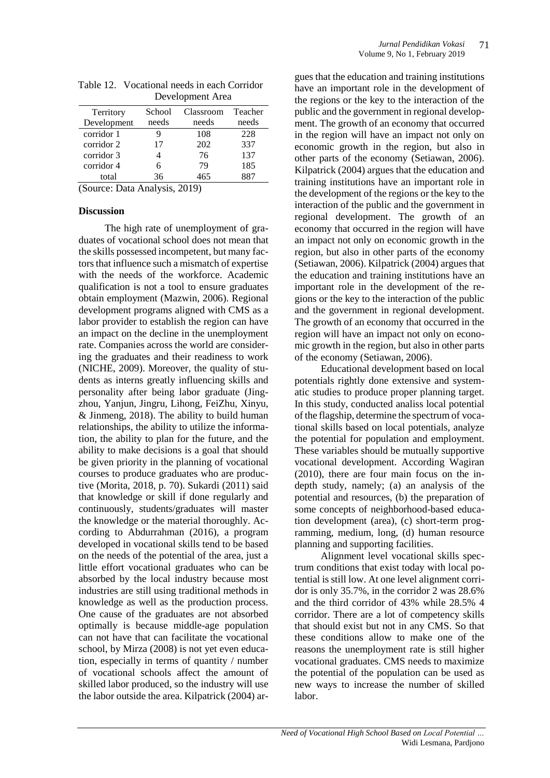|             |        | DUTUpinum Tuut |         |
|-------------|--------|----------------|---------|
| Territory   | School | Classroom      | Teacher |
| Development | needs  | needs          | needs   |
| corridor 1  | 9      | 108            | 228     |
| corridor 2  | 17     | 202            | 337     |
| corridor 3  |        | 76             | 137     |
| corridor 4  | 6      | 79             | 185     |
| total       | 36     | 465            | 887     |
|             |        |                |         |

| Table 12. Vocational needs in each Corridor |
|---------------------------------------------|
| Development Area                            |

(Source: Data Analysis, 2019)

#### **Discussion**

The high rate of unemployment of graduates of vocational school does not mean that the skills possessed incompetent, but many factors that influence such a mismatch of expertise with the needs of the workforce. Academic qualification is not a tool to ensure graduates obtain employment (Mazwin, 2006). Regional development programs aligned with CMS as a labor provider to establish the region can have an impact on the decline in the unemployment rate. Companies across the world are considering the graduates and their readiness to work (NICHE, 2009). Moreover, the quality of students as interns greatly influencing skills and personality after being labor graduate (Jingzhou, [Yanjun, Jingru, Lihong, FeiZhu,](https://www.sciencedirect.com/science/article/abs/pii/S0001879118301040#!) [Xinyu,](https://www.sciencedirect.com/science/article/abs/pii/S0001879118301040#!)  & [Jinmeng, 2](https://www.sciencedirect.com/science/article/abs/pii/S0001879118301040#!)018). The ability to build human relationships, the ability to utilize the information, the ability to plan for the future, and the ability to make decisions is a goal that should be given priority in the planning of vocational courses to produce graduates who are productive (Morita, 2018, p. 70). Sukardi (2011) said that knowledge or skill if done regularly and continuously, students/graduates will master the knowledge or the material thoroughly. According to Abdurrahman (2016), a program developed in vocational skills tend to be based on the needs of the potential of the area, just a little effort vocational graduates who can be absorbed by the local industry because most industries are still using traditional methods in knowledge as well as the production process. One cause of the graduates are not absorbed optimally is because middle-age population can not have that can facilitate the vocational school, by Mirza (2008) is not yet even education, especially in terms of quantity / number of vocational schools affect the amount of skilled labor produced, so the industry will use the labor outside the area. Kilpatrick (2004) ar-

gues that the education and training institutions have an important role in the development of the regions or the key to the interaction of the public and the government in regional development. The growth of an economy that occurred in the region will have an impact not only on economic growth in the region, but also in other parts of the economy (Setiawan, 2006). Kilpatrick (2004) argues that the education and training institutions have an important role in the development of the regions or the key to the interaction of the public and the government in regional development. The growth of an economy that occurred in the region will have an impact not only on economic growth in the region, but also in other parts of the economy (Setiawan, 2006). Kilpatrick (2004) argues that the education and training institutions have an important role in the development of the regions or the key to the interaction of the public and the government in regional development. The growth of an economy that occurred in the region will have an impact not only on economic growth in the region, but also in other parts of the economy (Setiawan, 2006).

Educational development based on local potentials rightly done extensive and systematic studies to produce proper planning target. In this study, conducted analiss local potential of the flagship, determine the spectrum of vocational skills based on local potentials, analyze the potential for population and employment. These variables should be mutually supportive vocational development. According Wagiran (2010), there are four main focus on the indepth study, namely; (a) an analysis of the potential and resources, (b) the preparation of some concepts of neighborhood-based education development (area), (c) short-term programming, medium, long, (d) human resource planning and supporting facilities.

Alignment level vocational skills spectrum conditions that exist today with local potential is still low. At one level alignment corridor is only 35.7%, in the corridor 2 was 28.6% and the third corridor of 43% while 28.5% 4 corridor. There are a lot of competency skills that should exist but not in any CMS. So that these conditions allow to make one of the reasons the unemployment rate is still higher vocational graduates. CMS needs to maximize the potential of the population can be used as new ways to increase the number of skilled labor.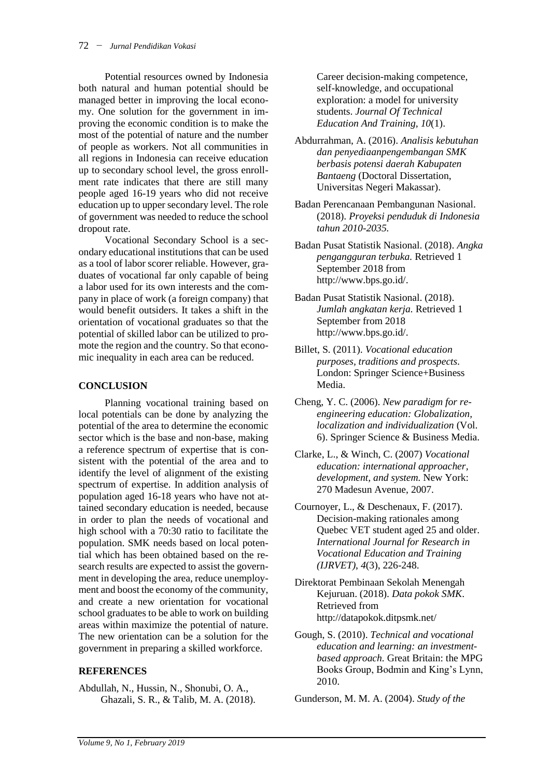Potential resources owned by Indonesia both natural and human potential should be managed better in improving the local economy. One solution for the government in improving the economic condition is to make the most of the potential of nature and the number of people as workers. Not all communities in all regions in Indonesia can receive education up to secondary school level, the gross enrollment rate indicates that there are still many people aged 16-19 years who did not receive education up to upper secondary level. The role of government was needed to reduce the school dropout rate.

Vocational Secondary School is a secondary educational institutions that can be used as a tool of labor scorer reliable. However, graduates of vocational far only capable of being a labor used for its own interests and the company in place of work (a foreign company) that would benefit outsiders. It takes a shift in the orientation of vocational graduates so that the potential of skilled labor can be utilized to promote the region and the country. So that economic inequality in each area can be reduced.

# **CONCLUSION**

Planning vocational training based on local potentials can be done by analyzing the potential of the area to determine the economic sector which is the base and non-base, making a reference spectrum of expertise that is consistent with the potential of the area and to identify the level of alignment of the existing spectrum of expertise. In addition analysis of population aged 16-18 years who have not attained secondary education is needed, because in order to plan the needs of vocational and high school with a 70:30 ratio to facilitate the population. SMK needs based on local potential which has been obtained based on the research results are expected to assist the government in developing the area, reduce unemployment and boost the economy of the community, and create a new orientation for vocational school graduates to be able to work on building areas within maximize the potential of nature. The new orientation can be a solution for the government in preparing a skilled workforce.

# **REFERENCES**

Abdullah, N., Hussin, N., Shonubi, O. A., Ghazali, S. R., & Talib, M. A. (2018). Career decision-making competence, self-knowledge, and occupational exploration: a model for university students. *Journal Of Technical Education And Training, 10*(1).

- Abdurrahman, A. (2016). *Analisis kebutuhan dan penyediaanpengembangan SMK berbasis potensi daerah Kabupaten Bantaeng* (Doctoral Dissertation, Universitas Negeri Makassar).
- Badan Perencanaan Pembangunan Nasional. (2018). *Proyeksi penduduk di Indonesia tahun 2010-2035.*
- Badan Pusat Statistik Nasional. (2018). *Angka pengangguran terbuka.* Retrieved 1 September 2018 from [http://www.bps.go.id/.](http://www.bps.go.id/)
- Badan Pusat Statistik Nasional. (2018). *Jumlah angkatan kerja.* Retrieved 1 September from 2018 [http://www.bps.go.id/.](http://www.bps.go.id/)
- Billet, S. (2011). *Vocational education purposes, traditions and prospects.* London: Springer Science+Business Media.
- Cheng, Y. C. (2006). *New paradigm for reengineering education: Globalization, localization and individualization* (Vol. 6). Springer Science & Business Media.
- Clarke, L., & Winch, C. (2007) *Vocational education: international approacher, development, and system.* New York: 270 Madesun Avenue, 2007.
- Cournoyer, L., & Deschenaux, F. (2017). Decision-making rationales among Quebec VET student aged 25 and older. *International Journal for Research in Vocational Education and Training (IJRVET)*, *4*(3), 226-248.
- Direktorat Pembinaan Sekolah Menengah Kejuruan. (2018). *Data pokok SMK*. Retrieved from http://datapokok.ditpsmk.net/
- Gough, S. (2010). *Technical and vocational education and learning: an investmentbased approach.* Great Britain: the MPG Books Group, Bodmin and King's Lynn, 2010.

Gunderson, M. M. A. (2004). *Study of the*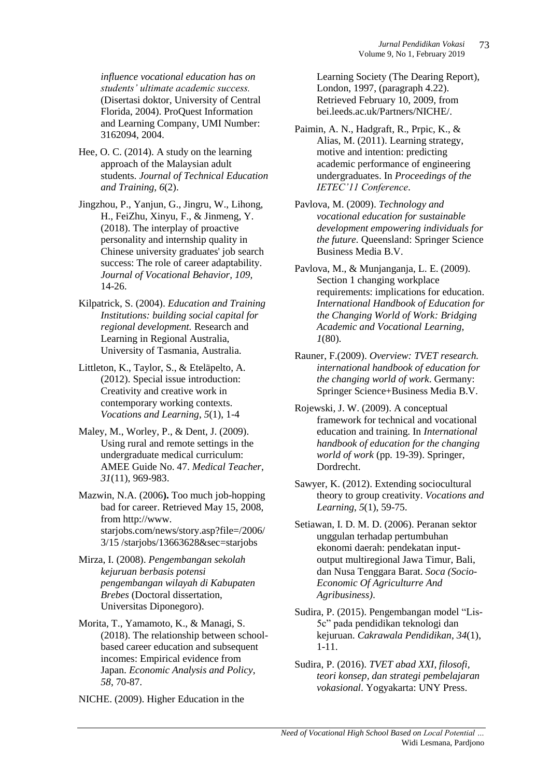*influence vocational education has on students' ultimate academic success.* (Disertasi doktor, University of Central Florida, 2004). ProQuest Information and Learning Company, UMI Number: 3162094, 2004.

- Hee, O. C. (2014). A study on the learning approach of the Malaysian adult students. *Journal of Technical Education and Training, 6*(2).
- [Jingzhou, P.,](https://www.sciencedirect.com/science/article/abs/pii/S0001879118301040#!) [Yanjun, G.,](https://www.sciencedirect.com/science/article/abs/pii/S0001879118301040#!) [Jingru, W.,](https://www.sciencedirect.com/science/article/abs/pii/S0001879118301040#!) [Lihong,](https://www.sciencedirect.com/science/article/abs/pii/S0001879118301040#!)  [H., FeiZhu,](https://www.sciencedirect.com/science/article/abs/pii/S0001879118301040#!) [Xinyu, F.](https://www.sciencedirect.com/science/article/abs/pii/S0001879118301040#!), & [Jinmeng, Y.](https://www.sciencedirect.com/science/article/abs/pii/S0001879118301040#!) (2018). The interplay of proactive personality and internship quality in Chinese university graduates' job search success: The role of career adaptability. *Journal of Vocational Behavior, 109,* 14-26.
- Kilpatrick, S. (2004). *Education and Training Institutions: building social capital for regional development.* Research and Learning in Regional Australia, University of Tasmania, Australia.

Littleton, K., Taylor, S., & Eteläpelto, A. (2012). Special issue introduction: Creativity and creative work in contemporary working contexts. *Vocations and Learning*, *5*(1), 1-4

- Maley, M., Worley, P., & Dent, J. (2009). Using rural and remote settings in the undergraduate medical curriculum: AMEE Guide No. 47. *Medical Teacher*, *31*(11), 969-983.
- Mazwin, N.A. (2006**).** Too much job-hopping bad for career. Retrieved May 15, 2008, from http://www. starjobs.com/news/story.asp?file=/2006/ 3/15 /starjobs/13663628&sec=starjobs
- Mirza, I. (2008). *Pengembangan sekolah kejuruan berbasis potensi pengembangan wilayah di Kabupaten Brebes* (Doctoral dissertation, Universitas Diponegoro).
- Morita, T., Yamamoto, K., & Managi, S. (2018). The relationship between schoolbased career education and subsequent incomes: Empirical evidence from Japan. *Economic Analysis and Policy*, *58*, 70-87.

NICHE. (2009). Higher Education in the

Learning Society (The Dearing Report), London, 1997, (paragraph 4.22). Retrieved February 10, 2009, from bei.leeds.ac.uk/Partners/NICHE/.

- Paimin, A. N., Hadgraft, R., Prpic, K., & Alias, M. (2011). Learning strategy, motive and intention: predicting academic performance of engineering undergraduates. In *Proceedings of the IETEC'11 Conference*.
- Pavlova, M. (2009). *Technology and vocational education for sustainable development empowering individuals for the future.* Queensland: Springer Science Business Media B.V.
- Pavlova, M., & Munjanganja, L. E. (2009). Section 1 changing workplace requirements: implications for education. *International Handbook of Education for the Changing World of Work: Bridging Academic and Vocational Learning*, *1*(80).
- Rauner, F.(2009). *Overview: TVET research. international handbook of education for the changing world of work*. Germany: Springer Science+Business Media B.V.
- Rojewski, J. W. (2009). A conceptual framework for technical and vocational education and training. In *International handbook of education for the changing world of work* (pp. 19-39). Springer, Dordrecht.
- Sawyer, K. (2012). Extending sociocultural theory to group creativity. *Vocations and Learning*, *5*(1), 59-75.
- Setiawan, I. D. M. D. (2006). Peranan sektor unggulan terhadap pertumbuhan ekonomi daerah: pendekatan inputoutput multiregional Jawa Timur, Bali, dan Nusa Tenggara Barat. *Soca (Socio-Economic Of Agriculturre And Agribusiness)*.
- Sudira, P. (2015). Pengembangan model "Lis-5c" pada pendidikan teknologi dan kejuruan. *Cakrawala Pendidikan*, *34*(1), 1-11.
- Sudira, P. (2016). *TVET abad XXI, filosofi, teori konsep, dan strategi pembelajaran vokasional*. Yogyakarta: UNY Press.